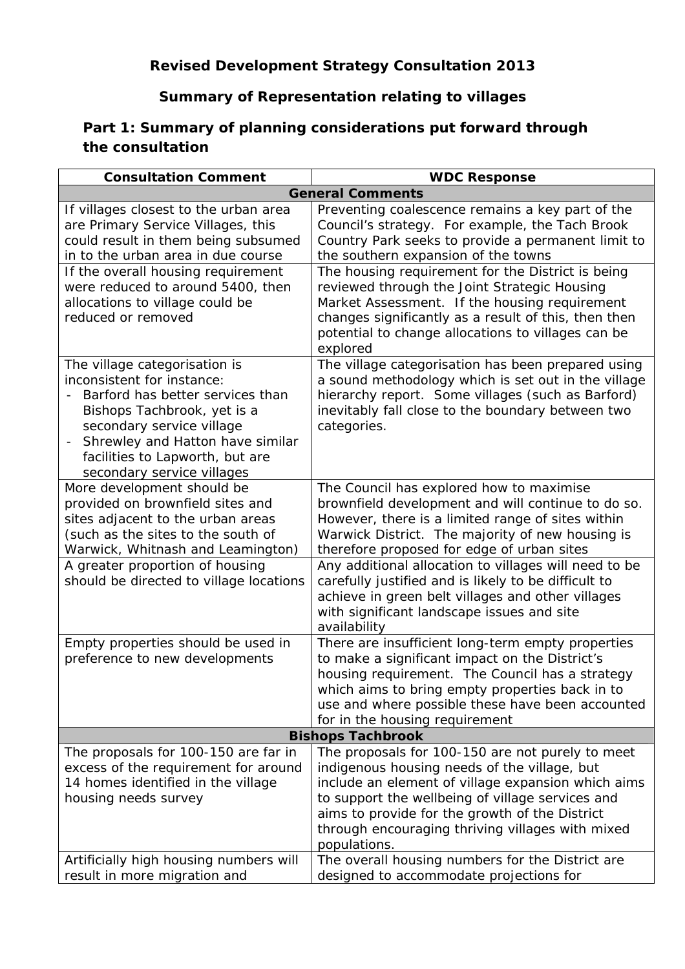## **Summary of Representation relating to villages**

## **Part 1: Summary of planning considerations put forward through the consultation**

| <b>Consultation Comment</b>                                                                                                                                                                                                                                      | <b>WDC Response</b>                                                                                                                                                                                                                                                                                                              |  |
|------------------------------------------------------------------------------------------------------------------------------------------------------------------------------------------------------------------------------------------------------------------|----------------------------------------------------------------------------------------------------------------------------------------------------------------------------------------------------------------------------------------------------------------------------------------------------------------------------------|--|
|                                                                                                                                                                                                                                                                  | <b>General Comments</b>                                                                                                                                                                                                                                                                                                          |  |
| If villages closest to the urban area<br>are Primary Service Villages, this<br>could result in them being subsumed<br>in to the urban area in due course                                                                                                         | Preventing coalescence remains a key part of the<br>Council's strategy. For example, the Tach Brook<br>Country Park seeks to provide a permanent limit to<br>the southern expansion of the towns                                                                                                                                 |  |
| If the overall housing requirement<br>were reduced to around 5400, then<br>allocations to village could be<br>reduced or removed                                                                                                                                 | The housing requirement for the District is being<br>reviewed through the Joint Strategic Housing<br>Market Assessment. If the housing requirement<br>changes significantly as a result of this, then then<br>potential to change allocations to villages can be<br>explored                                                     |  |
| The village categorisation is<br>inconsistent for instance:<br>Barford has better services than<br>Bishops Tachbrook, yet is a<br>secondary service village<br>Shrewley and Hatton have similar<br>facilities to Lapworth, but are<br>secondary service villages | The village categorisation has been prepared using<br>a sound methodology which is set out in the village<br>hierarchy report. Some villages (such as Barford)<br>inevitably fall close to the boundary between two<br>categories.                                                                                               |  |
| More development should be<br>provided on brownfield sites and<br>sites adjacent to the urban areas<br>(such as the sites to the south of<br>Warwick, Whitnash and Leamington)                                                                                   | The Council has explored how to maximise<br>brownfield development and will continue to do so.<br>However, there is a limited range of sites within<br>Warwick District. The majority of new housing is<br>therefore proposed for edge of urban sites                                                                            |  |
| A greater proportion of housing<br>should be directed to village locations                                                                                                                                                                                       | Any additional allocation to villages will need to be<br>carefully justified and is likely to be difficult to<br>achieve in green belt villages and other villages<br>with significant landscape issues and site<br>availability                                                                                                 |  |
| Empty properties should be used in<br>preference to new developments                                                                                                                                                                                             | There are insufficient long-term empty properties<br>to make a significant impact on the District's<br>housing requirement. The Council has a strategy<br>which aims to bring empty properties back in to<br>use and where possible these have been accounted<br>for in the housing requirement                                  |  |
| <b>Bishops Tachbrook</b>                                                                                                                                                                                                                                         |                                                                                                                                                                                                                                                                                                                                  |  |
| The proposals for 100-150 are far in<br>excess of the requirement for around<br>14 homes identified in the village<br>housing needs survey                                                                                                                       | The proposals for 100-150 are not purely to meet<br>indigenous housing needs of the village, but<br>include an element of village expansion which aims<br>to support the wellbeing of village services and<br>aims to provide for the growth of the District<br>through encouraging thriving villages with mixed<br>populations. |  |
| Artificially high housing numbers will<br>result in more migration and                                                                                                                                                                                           | The overall housing numbers for the District are<br>designed to accommodate projections for                                                                                                                                                                                                                                      |  |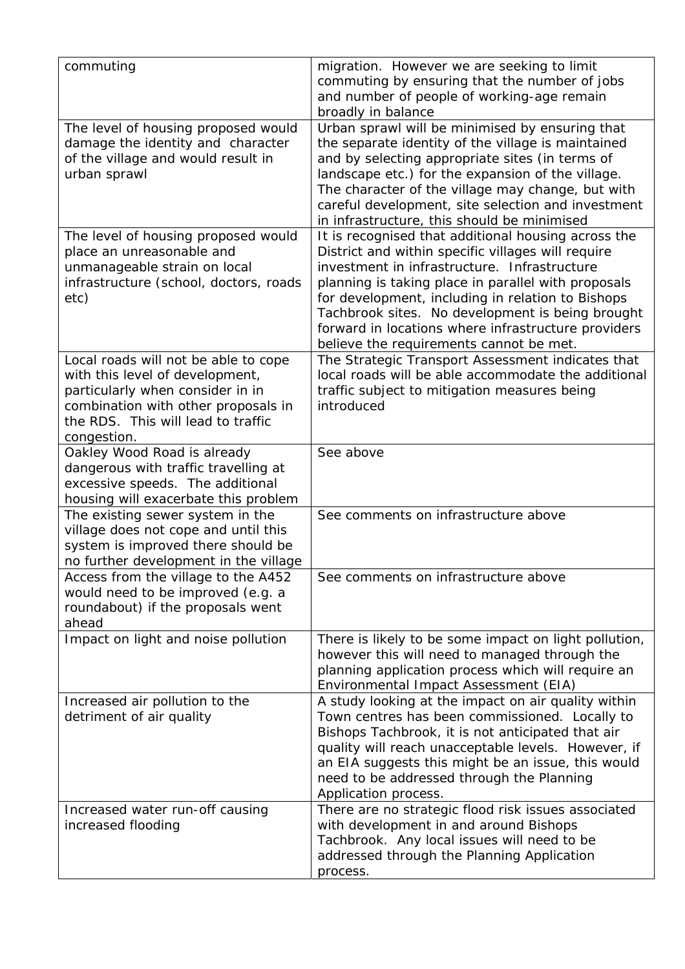| commuting                                                                                                                                                                                               | migration. However we are seeking to limit<br>commuting by ensuring that the number of jobs<br>and number of people of working-age remain                                                                                                                                                                                                                                                                                   |
|---------------------------------------------------------------------------------------------------------------------------------------------------------------------------------------------------------|-----------------------------------------------------------------------------------------------------------------------------------------------------------------------------------------------------------------------------------------------------------------------------------------------------------------------------------------------------------------------------------------------------------------------------|
| The level of housing proposed would<br>damage the identity and character                                                                                                                                | broadly in balance<br>Urban sprawl will be minimised by ensuring that<br>the separate identity of the village is maintained                                                                                                                                                                                                                                                                                                 |
| of the village and would result in<br>urban sprawl                                                                                                                                                      | and by selecting appropriate sites (in terms of<br>landscape etc.) for the expansion of the village.<br>The character of the village may change, but with<br>careful development, site selection and investment<br>in infrastructure, this should be minimised                                                                                                                                                              |
| The level of housing proposed would<br>place an unreasonable and<br>unmanageable strain on local<br>infrastructure (school, doctors, roads<br>etc)                                                      | It is recognised that additional housing across the<br>District and within specific villages will require<br>investment in infrastructure. Infrastructure<br>planning is taking place in parallel with proposals<br>for development, including in relation to Bishops<br>Tachbrook sites. No development is being brought<br>forward in locations where infrastructure providers<br>believe the requirements cannot be met. |
| Local roads will not be able to cope<br>with this level of development,<br>particularly when consider in in<br>combination with other proposals in<br>the RDS. This will lead to traffic<br>congestion. | The Strategic Transport Assessment indicates that<br>local roads will be able accommodate the additional<br>traffic subject to mitigation measures being<br>introduced                                                                                                                                                                                                                                                      |
| Oakley Wood Road is already<br>dangerous with traffic travelling at<br>excessive speeds. The additional<br>housing will exacerbate this problem                                                         | See above                                                                                                                                                                                                                                                                                                                                                                                                                   |
| The existing sewer system in the<br>village does not cope and until this<br>system is improved there should be<br>no further development in the village                                                 | See comments on infrastructure above                                                                                                                                                                                                                                                                                                                                                                                        |
| Access from the village to the A452<br>would need to be improved (e.g. a<br>roundabout) if the proposals went<br>ahead                                                                                  | See comments on infrastructure above                                                                                                                                                                                                                                                                                                                                                                                        |
| Impact on light and noise pollution                                                                                                                                                                     | There is likely to be some impact on light pollution,<br>however this will need to managed through the<br>planning application process which will require an<br>Environmental Impact Assessment (EIA)                                                                                                                                                                                                                       |
| Increased air pollution to the<br>detriment of air quality                                                                                                                                              | A study looking at the impact on air quality within<br>Town centres has been commissioned. Locally to<br>Bishops Tachbrook, it is not anticipated that air<br>quality will reach unacceptable levels. However, if<br>an EIA suggests this might be an issue, this would<br>need to be addressed through the Planning<br>Application process.                                                                                |
| Increased water run-off causing<br>increased flooding                                                                                                                                                   | There are no strategic flood risk issues associated<br>with development in and around Bishops<br>Tachbrook. Any local issues will need to be<br>addressed through the Planning Application<br>process.                                                                                                                                                                                                                      |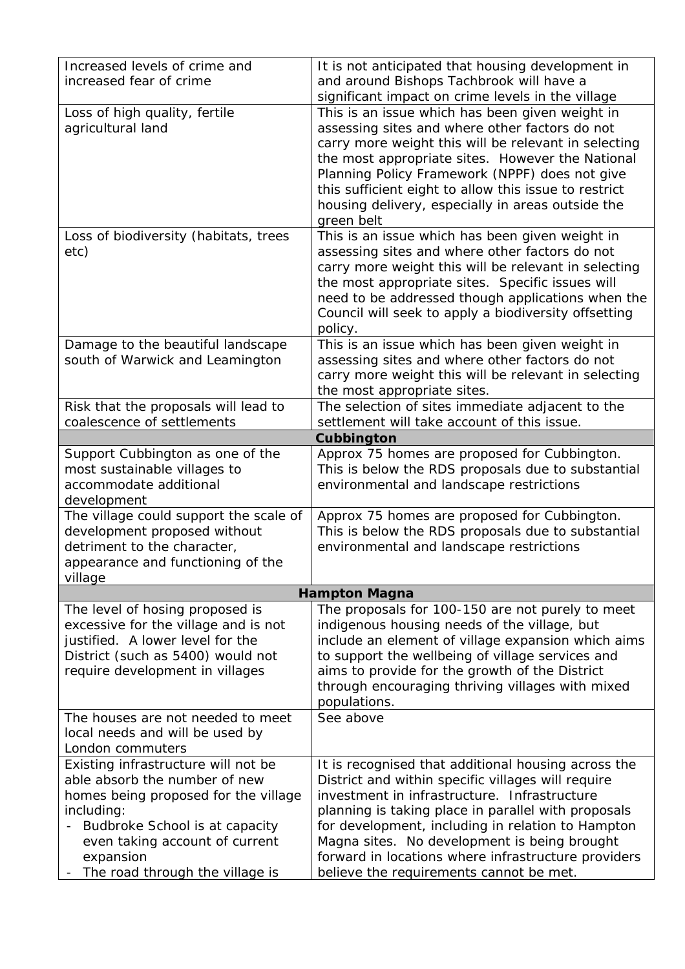| Increased levels of crime and                                           | It is not anticipated that housing development in                                                         |
|-------------------------------------------------------------------------|-----------------------------------------------------------------------------------------------------------|
| increased fear of crime                                                 | and around Bishops Tachbrook will have a                                                                  |
|                                                                         | significant impact on crime levels in the village                                                         |
| Loss of high quality, fertile                                           | This is an issue which has been given weight in                                                           |
| agricultural land                                                       | assessing sites and where other factors do not                                                            |
|                                                                         | carry more weight this will be relevant in selecting                                                      |
|                                                                         | the most appropriate sites. However the National                                                          |
|                                                                         | Planning Policy Framework (NPPF) does not give<br>this sufficient eight to allow this issue to restrict   |
|                                                                         | housing delivery, especially in areas outside the                                                         |
|                                                                         | green belt                                                                                                |
| Loss of biodiversity (habitats, trees                                   | This is an issue which has been given weight in                                                           |
| etc)                                                                    | assessing sites and where other factors do not                                                            |
|                                                                         | carry more weight this will be relevant in selecting                                                      |
|                                                                         | the most appropriate sites. Specific issues will                                                          |
|                                                                         | need to be addressed though applications when the                                                         |
|                                                                         | Council will seek to apply a biodiversity offsetting<br>policy.                                           |
| Damage to the beautiful landscape                                       | This is an issue which has been given weight in                                                           |
| south of Warwick and Leamington                                         | assessing sites and where other factors do not                                                            |
|                                                                         | carry more weight this will be relevant in selecting                                                      |
|                                                                         | the most appropriate sites.                                                                               |
| Risk that the proposals will lead to                                    | The selection of sites immediate adjacent to the                                                          |
| coalescence of settlements                                              | settlement will take account of this issue.                                                               |
|                                                                         | Cubbington                                                                                                |
| Support Cubbington as one of the                                        | Approx 75 homes are proposed for Cubbington.                                                              |
| most sustainable villages to<br>accommodate additional                  | This is below the RDS proposals due to substantial<br>environmental and landscape restrictions            |
| development                                                             |                                                                                                           |
| The village could support the scale of                                  | Approx 75 homes are proposed for Cubbington.                                                              |
| development proposed without                                            | This is below the RDS proposals due to substantial                                                        |
| detriment to the character,                                             | environmental and landscape restrictions                                                                  |
| appearance and functioning of the                                       |                                                                                                           |
| village                                                                 |                                                                                                           |
|                                                                         | <b>Hampton Magna</b>                                                                                      |
| The level of hosing proposed is<br>excessive for the village and is not | The proposals for 100-150 are not purely to meet<br>indigenous housing needs of the village, but          |
| justified. A lower level for the                                        | include an element of village expansion which aims                                                        |
| District (such as 5400) would not                                       | to support the wellbeing of village services and                                                          |
| require development in villages                                         | aims to provide for the growth of the District                                                            |
|                                                                         | through encouraging thriving villages with mixed                                                          |
|                                                                         | populations.                                                                                              |
| The houses are not needed to meet                                       | See above                                                                                                 |
| local needs and will be used by                                         |                                                                                                           |
| London commuters                                                        |                                                                                                           |
| Existing infrastructure will not be<br>able absorb the number of new    | It is recognised that additional housing across the<br>District and within specific villages will require |
| homes being proposed for the village                                    | investment in infrastructure. Infrastructure                                                              |
| including:                                                              | planning is taking place in parallel with proposals                                                       |
| Budbroke School is at capacity                                          | for development, including in relation to Hampton                                                         |
| even taking account of current                                          | Magna sites. No development is being brought                                                              |
| expansion                                                               | forward in locations where infrastructure providers                                                       |
| The road through the village is                                         | believe the requirements cannot be met.                                                                   |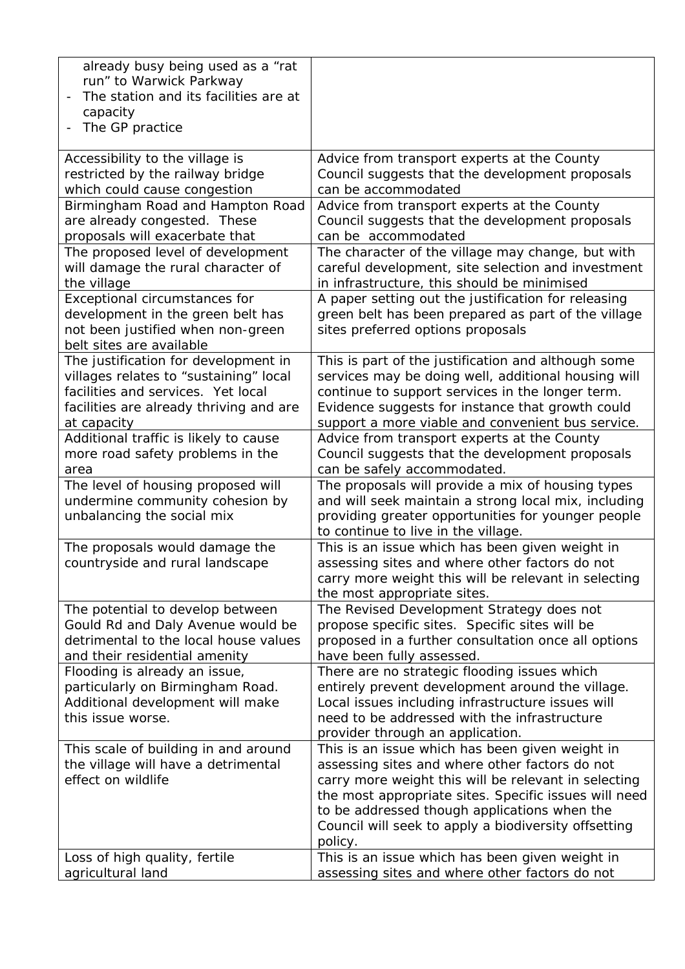| already busy being used as a "rat<br>run" to Warwick Parkway<br>The station and its facilities are at |                                                                                                         |
|-------------------------------------------------------------------------------------------------------|---------------------------------------------------------------------------------------------------------|
| capacity                                                                                              |                                                                                                         |
| The GP practice                                                                                       |                                                                                                         |
| Accessibility to the village is                                                                       | Advice from transport experts at the County                                                             |
| restricted by the railway bridge<br>which could cause congestion                                      | Council suggests that the development proposals<br>can be accommodated                                  |
| Birmingham Road and Hampton Road                                                                      | Advice from transport experts at the County                                                             |
| are already congested. These<br>proposals will exacerbate that                                        | Council suggests that the development proposals<br>can be accommodated                                  |
| The proposed level of development                                                                     | The character of the village may change, but with                                                       |
| will damage the rural character of<br>the village                                                     | careful development, site selection and investment<br>in infrastructure, this should be minimised       |
| Exceptional circumstances for                                                                         | A paper setting out the justification for releasing                                                     |
| development in the green belt has<br>not been justified when non-green                                | green belt has been prepared as part of the village<br>sites preferred options proposals                |
| belt sites are available                                                                              |                                                                                                         |
| The justification for development in                                                                  | This is part of the justification and although some                                                     |
| villages relates to "sustaining" local<br>facilities and services. Yet local                          | services may be doing well, additional housing will<br>continue to support services in the longer term. |
| facilities are already thriving and are                                                               | Evidence suggests for instance that growth could                                                        |
| at capacity                                                                                           | support a more viable and convenient bus service.                                                       |
| Additional traffic is likely to cause                                                                 | Advice from transport experts at the County                                                             |
| more road safety problems in the                                                                      | Council suggests that the development proposals                                                         |
| area<br>The level of housing proposed will                                                            | can be safely accommodated.<br>The proposals will provide a mix of housing types                        |
| undermine community cohesion by                                                                       | and will seek maintain a strong local mix, including                                                    |
| unbalancing the social mix                                                                            | providing greater opportunities for younger people                                                      |
|                                                                                                       | to continue to live in the village.                                                                     |
| The proposals would damage the                                                                        | This is an issue which has been given weight in                                                         |
| countryside and rural landscape                                                                       | assessing sites and where other factors do not<br>carry more weight this will be relevant in selecting  |
|                                                                                                       | the most appropriate sites.                                                                             |
| The potential to develop between                                                                      | The Revised Development Strategy does not                                                               |
| Gould Rd and Daly Avenue would be<br>detrimental to the local house values                            | propose specific sites. Specific sites will be                                                          |
| and their residential amenity                                                                         | proposed in a further consultation once all options<br>have been fully assessed.                        |
| Flooding is already an issue,                                                                         | There are no strategic flooding issues which                                                            |
| particularly on Birmingham Road.                                                                      | entirely prevent development around the village.                                                        |
| Additional development will make                                                                      | Local issues including infrastructure issues will                                                       |
| this issue worse.                                                                                     | need to be addressed with the infrastructure                                                            |
| This scale of building in and around                                                                  | provider through an application.<br>This is an issue which has been given weight in                     |
| the village will have a detrimental                                                                   | assessing sites and where other factors do not                                                          |
| effect on wildlife                                                                                    | carry more weight this will be relevant in selecting                                                    |
|                                                                                                       | the most appropriate sites. Specific issues will need                                                   |
|                                                                                                       | to be addressed though applications when the                                                            |
|                                                                                                       | Council will seek to apply a biodiversity offsetting<br>policy.                                         |
| Loss of high quality, fertile                                                                         | This is an issue which has been given weight in                                                         |
| agricultural land                                                                                     | assessing sites and where other factors do not                                                          |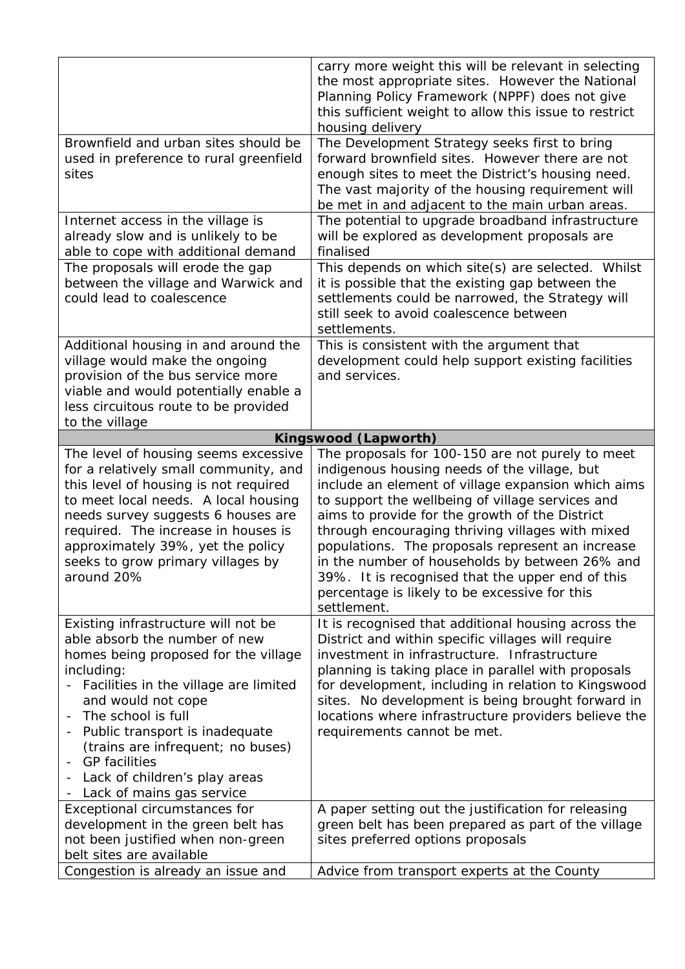|                                                                                                                                                                                                                                                                                                                                                                              | carry more weight this will be relevant in selecting<br>the most appropriate sites. However the National<br>Planning Policy Framework (NPPF) does not give<br>this sufficient weight to allow this issue to restrict<br>housing delivery                                                                                                                                                                                                                                                                                                   |
|------------------------------------------------------------------------------------------------------------------------------------------------------------------------------------------------------------------------------------------------------------------------------------------------------------------------------------------------------------------------------|--------------------------------------------------------------------------------------------------------------------------------------------------------------------------------------------------------------------------------------------------------------------------------------------------------------------------------------------------------------------------------------------------------------------------------------------------------------------------------------------------------------------------------------------|
| Brownfield and urban sites should be<br>used in preference to rural greenfield<br>sites                                                                                                                                                                                                                                                                                      | The Development Strategy seeks first to bring<br>forward brownfield sites. However there are not<br>enough sites to meet the District's housing need.<br>The vast majority of the housing requirement will<br>be met in and adjacent to the main urban areas.                                                                                                                                                                                                                                                                              |
| Internet access in the village is<br>already slow and is unlikely to be<br>able to cope with additional demand                                                                                                                                                                                                                                                               | The potential to upgrade broadband infrastructure<br>will be explored as development proposals are<br>finalised                                                                                                                                                                                                                                                                                                                                                                                                                            |
| The proposals will erode the gap<br>between the village and Warwick and<br>could lead to coalescence                                                                                                                                                                                                                                                                         | This depends on which site(s) are selected. Whilst<br>it is possible that the existing gap between the<br>settlements could be narrowed, the Strategy will<br>still seek to avoid coalescence between<br>settlements.                                                                                                                                                                                                                                                                                                                      |
| Additional housing in and around the<br>village would make the ongoing<br>provision of the bus service more<br>viable and would potentially enable a<br>less circuitous route to be provided<br>to the village                                                                                                                                                               | This is consistent with the argument that<br>development could help support existing facilities<br>and services.                                                                                                                                                                                                                                                                                                                                                                                                                           |
|                                                                                                                                                                                                                                                                                                                                                                              | Kingswood (Lapworth)                                                                                                                                                                                                                                                                                                                                                                                                                                                                                                                       |
| The level of housing seems excessive<br>for a relatively small community, and<br>this level of housing is not required<br>to meet local needs. A local housing<br>needs survey suggests 6 houses are<br>required. The increase in houses is<br>approximately 39%, yet the policy<br>seeks to grow primary villages by<br>around 20%                                          | The proposals for 100-150 are not purely to meet<br>indigenous housing needs of the village, but<br>include an element of village expansion which aims<br>to support the wellbeing of village services and<br>aims to provide for the growth of the District<br>through encouraging thriving villages with mixed<br>populations. The proposals represent an increase<br>in the number of households by between 26% and<br>39%. It is recognised that the upper end of this<br>percentage is likely to be excessive for this<br>settlement. |
| Existing infrastructure will not be<br>able absorb the number of new<br>homes being proposed for the village<br>including:<br>Facilities in the village are limited<br>and would not cope<br>The school is full<br>Public transport is inadequate<br>(trains are infrequent; no buses)<br><b>GP</b> facilities<br>Lack of children's play areas<br>Lack of mains gas service | It is recognised that additional housing across the<br>District and within specific villages will require<br>investment in infrastructure. Infrastructure<br>planning is taking place in parallel with proposals<br>for development, including in relation to Kingswood<br>sites. No development is being brought forward in<br>locations where infrastructure providers believe the<br>requirements cannot be met.                                                                                                                        |
| Exceptional circumstances for<br>development in the green belt has<br>not been justified when non-green<br>belt sites are available<br>Congestion is already an issue and                                                                                                                                                                                                    | A paper setting out the justification for releasing<br>green belt has been prepared as part of the village<br>sites preferred options proposals<br>Advice from transport experts at the County                                                                                                                                                                                                                                                                                                                                             |
|                                                                                                                                                                                                                                                                                                                                                                              |                                                                                                                                                                                                                                                                                                                                                                                                                                                                                                                                            |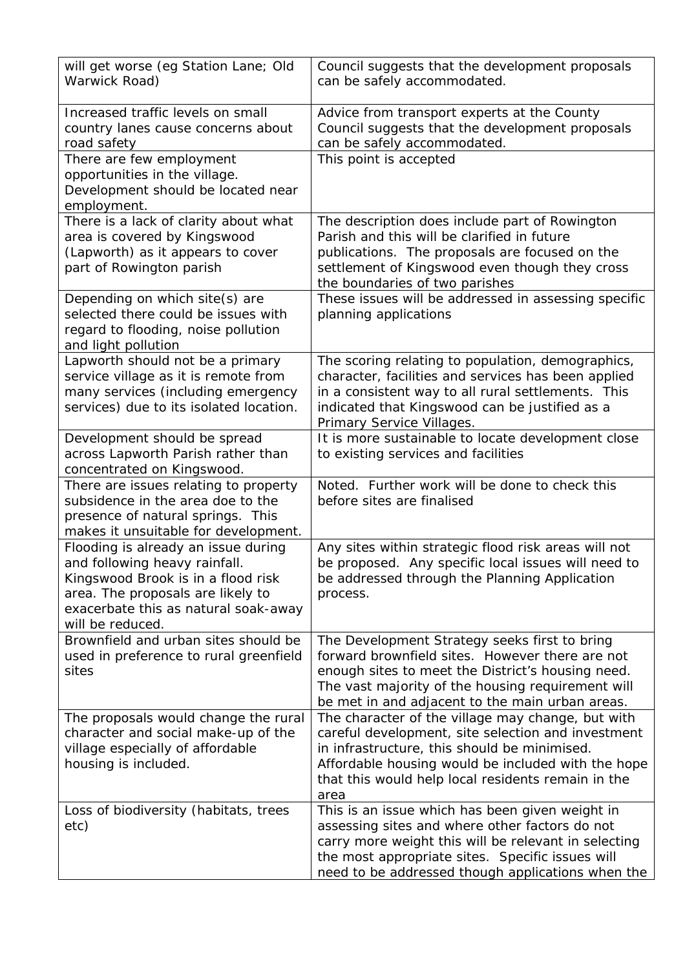| will get worse (eg Station Lane; Old<br>Warwick Road)                                                                                                                                                       | Council suggests that the development proposals<br>can be safely accommodated.                                                                                                                                                                                              |
|-------------------------------------------------------------------------------------------------------------------------------------------------------------------------------------------------------------|-----------------------------------------------------------------------------------------------------------------------------------------------------------------------------------------------------------------------------------------------------------------------------|
| Increased traffic levels on small<br>country lanes cause concerns about<br>road safety                                                                                                                      | Advice from transport experts at the County<br>Council suggests that the development proposals<br>can be safely accommodated.                                                                                                                                               |
| There are few employment<br>opportunities in the village.<br>Development should be located near<br>employment.                                                                                              | This point is accepted                                                                                                                                                                                                                                                      |
| There is a lack of clarity about what<br>area is covered by Kingswood<br>(Lapworth) as it appears to cover<br>part of Rowington parish                                                                      | The description does include part of Rowington<br>Parish and this will be clarified in future<br>publications. The proposals are focused on the<br>settlement of Kingswood even though they cross<br>the boundaries of two parishes                                         |
| Depending on which site(s) are<br>selected there could be issues with<br>regard to flooding, noise pollution<br>and light pollution                                                                         | These issues will be addressed in assessing specific<br>planning applications                                                                                                                                                                                               |
| Lapworth should not be a primary<br>service village as it is remote from<br>many services (including emergency<br>services) due to its isolated location.                                                   | The scoring relating to population, demographics,<br>character, facilities and services has been applied<br>in a consistent way to all rural settlements. This<br>indicated that Kingswood can be justified as a<br>Primary Service Villages.                               |
| Development should be spread<br>across Lapworth Parish rather than<br>concentrated on Kingswood.                                                                                                            | It is more sustainable to locate development close<br>to existing services and facilities                                                                                                                                                                                   |
| There are issues relating to property<br>subsidence in the area doe to the<br>presence of natural springs. This<br>makes it unsuitable for development.                                                     | Noted. Further work will be done to check this<br>before sites are finalised                                                                                                                                                                                                |
| Flooding is already an issue during<br>and following heavy rainfall.<br>Kingswood Brook is in a flood risk<br>area. The proposals are likely to<br>exacerbate this as natural soak-away<br>will be reduced. | Any sites within strategic flood risk areas will not<br>be proposed. Any specific local issues will need to<br>be addressed through the Planning Application<br>process.                                                                                                    |
| Brownfield and urban sites should be<br>used in preference to rural greenfield<br>sites                                                                                                                     | The Development Strategy seeks first to bring<br>forward brownfield sites. However there are not<br>enough sites to meet the District's housing need.<br>The vast majority of the housing requirement will<br>be met in and adjacent to the main urban areas.               |
| The proposals would change the rural<br>character and social make-up of the<br>village especially of affordable<br>housing is included.                                                                     | The character of the village may change, but with<br>careful development, site selection and investment<br>in infrastructure, this should be minimised.<br>Affordable housing would be included with the hope<br>that this would help local residents remain in the<br>area |
| Loss of biodiversity (habitats, trees<br>etc)                                                                                                                                                               | This is an issue which has been given weight in<br>assessing sites and where other factors do not<br>carry more weight this will be relevant in selecting<br>the most appropriate sites. Specific issues will<br>need to be addressed though applications when the          |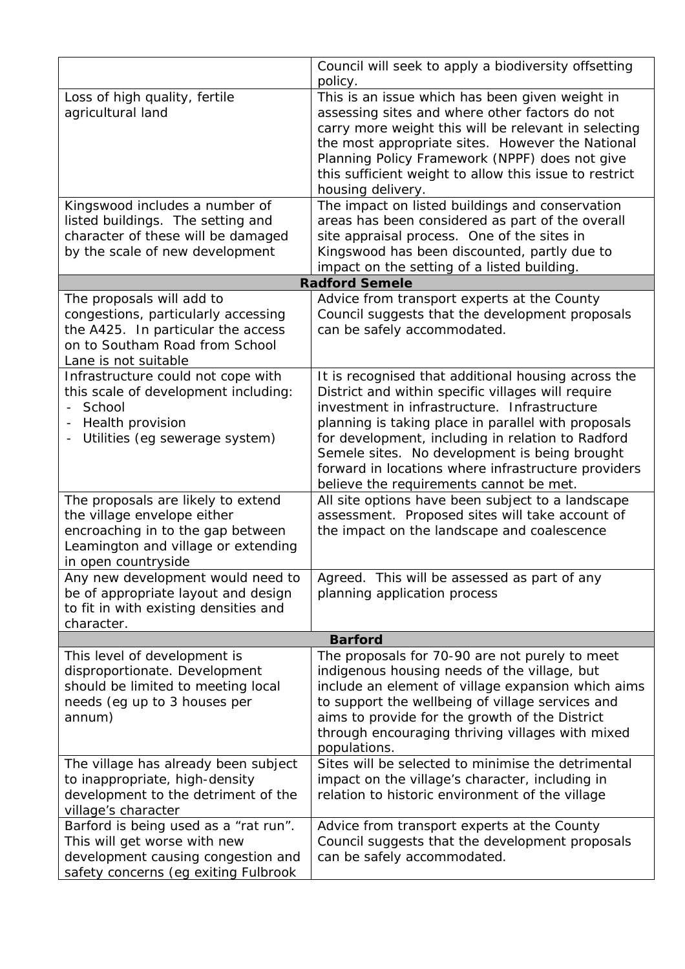|                                                                                                                                                                      | Council will seek to apply a biodiversity offsetting                                                                                                                                                                                                                                                                                                                                                                     |
|----------------------------------------------------------------------------------------------------------------------------------------------------------------------|--------------------------------------------------------------------------------------------------------------------------------------------------------------------------------------------------------------------------------------------------------------------------------------------------------------------------------------------------------------------------------------------------------------------------|
|                                                                                                                                                                      | policy.                                                                                                                                                                                                                                                                                                                                                                                                                  |
| Loss of high quality, fertile<br>agricultural land                                                                                                                   | This is an issue which has been given weight in<br>assessing sites and where other factors do not<br>carry more weight this will be relevant in selecting<br>the most appropriate sites. However the National<br>Planning Policy Framework (NPPF) does not give<br>this sufficient weight to allow this issue to restrict<br>housing delivery.                                                                           |
| Kingswood includes a number of<br>listed buildings. The setting and<br>character of these will be damaged<br>by the scale of new development                         | The impact on listed buildings and conservation<br>areas has been considered as part of the overall<br>site appraisal process. One of the sites in<br>Kingswood has been discounted, partly due to<br>impact on the setting of a listed building.                                                                                                                                                                        |
|                                                                                                                                                                      | <b>Radford Semele</b>                                                                                                                                                                                                                                                                                                                                                                                                    |
| The proposals will add to                                                                                                                                            | Advice from transport experts at the County                                                                                                                                                                                                                                                                                                                                                                              |
| congestions, particularly accessing<br>the A425. In particular the access<br>on to Southam Road from School<br>Lane is not suitable                                  | Council suggests that the development proposals<br>can be safely accommodated.                                                                                                                                                                                                                                                                                                                                           |
| Infrastructure could not cope with<br>this scale of development including:<br>- School<br>Health provision<br>Utilities (eg sewerage system)<br>$\blacksquare$       | It is recognised that additional housing across the<br>District and within specific villages will require<br>investment in infrastructure. Infrastructure<br>planning is taking place in parallel with proposals<br>for development, including in relation to Radford<br>Semele sites. No development is being brought<br>forward in locations where infrastructure providers<br>believe the requirements cannot be met. |
| The proposals are likely to extend<br>the village envelope either<br>encroaching in to the gap between<br>Leamington and village or extending<br>in open countryside | All site options have been subject to a landscape<br>assessment. Proposed sites will take account of<br>the impact on the landscape and coalescence                                                                                                                                                                                                                                                                      |
| Any new development would need to<br>be of appropriate layout and design<br>to fit in with existing densities and<br>character.                                      | Agreed. This will be assessed as part of any<br>planning application process                                                                                                                                                                                                                                                                                                                                             |
|                                                                                                                                                                      | <b>Barford</b>                                                                                                                                                                                                                                                                                                                                                                                                           |
| This level of development is<br>disproportionate. Development<br>should be limited to meeting local<br>needs (eg up to 3 houses per<br>annum)                        | The proposals for 70-90 are not purely to meet<br>indigenous housing needs of the village, but<br>include an element of village expansion which aims<br>to support the wellbeing of village services and<br>aims to provide for the growth of the District<br>through encouraging thriving villages with mixed<br>populations.                                                                                           |
| The village has already been subject<br>to inappropriate, high-density<br>development to the detriment of the<br>village's character                                 | Sites will be selected to minimise the detrimental<br>impact on the village's character, including in<br>relation to historic environment of the village                                                                                                                                                                                                                                                                 |
| Barford is being used as a "rat run".<br>This will get worse with new<br>development causing congestion and<br>safety concerns (eg exiting Fulbrook                  | Advice from transport experts at the County<br>Council suggests that the development proposals<br>can be safely accommodated.                                                                                                                                                                                                                                                                                            |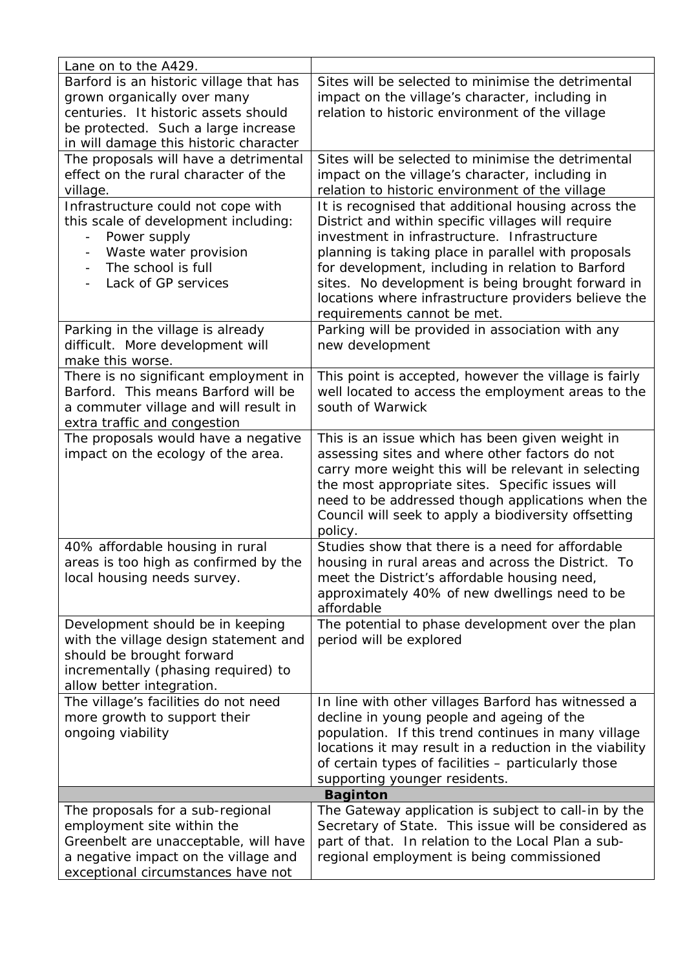| Lane on to the A429.                                                  |                                                                                     |
|-----------------------------------------------------------------------|-------------------------------------------------------------------------------------|
| Barford is an historic village that has                               | Sites will be selected to minimise the detrimental                                  |
| grown organically over many                                           | impact on the village's character, including in                                     |
| centuries. It historic assets should                                  | relation to historic environment of the village                                     |
| be protected. Such a large increase                                   |                                                                                     |
| in will damage this historic character                                |                                                                                     |
| The proposals will have a detrimental                                 | Sites will be selected to minimise the detrimental                                  |
| effect on the rural character of the                                  | impact on the village's character, including in                                     |
| village.                                                              | relation to historic environment of the village                                     |
| Infrastructure could not cope with                                    | It is recognised that additional housing across the                                 |
| this scale of development including:                                  | District and within specific villages will require                                  |
| Power supply                                                          | investment in infrastructure. Infrastructure                                        |
| Waste water provision<br>$\overline{\phantom{a}}$                     | planning is taking place in parallel with proposals                                 |
| The school is full<br>$\overline{\phantom{a}}$<br>Lack of GP services | for development, including in relation to Barford                                   |
|                                                                       | sites. No development is being brought forward in                                   |
|                                                                       | locations where infrastructure providers believe the<br>requirements cannot be met. |
| Parking in the village is already                                     | Parking will be provided in association with any                                    |
| difficult. More development will                                      | new development                                                                     |
| make this worse.                                                      |                                                                                     |
| There is no significant employment in                                 | This point is accepted, however the village is fairly                               |
| Barford. This means Barford will be                                   | well located to access the employment areas to the                                  |
| a commuter village and will result in                                 | south of Warwick                                                                    |
| extra traffic and congestion                                          |                                                                                     |
| The proposals would have a negative                                   | This is an issue which has been given weight in                                     |
| impact on the ecology of the area.                                    | assessing sites and where other factors do not                                      |
|                                                                       | carry more weight this will be relevant in selecting                                |
|                                                                       | the most appropriate sites. Specific issues will                                    |
|                                                                       | need to be addressed though applications when the                                   |
|                                                                       | Council will seek to apply a biodiversity offsetting                                |
|                                                                       | policy.                                                                             |
| 40% affordable housing in rural                                       | Studies show that there is a need for affordable                                    |
| areas is too high as confirmed by the                                 | housing in rural areas and across the District. To                                  |
| local housing needs survey.                                           | meet the District's affordable housing need,                                        |
|                                                                       | approximately 40% of new dwellings need to be<br>affordable                         |
| Development should be in keeping                                      | The potential to phase development over the plan                                    |
| with the village design statement and                                 | period will be explored                                                             |
| should be brought forward                                             |                                                                                     |
| incrementally (phasing required) to                                   |                                                                                     |
| allow better integration.                                             |                                                                                     |
| The village's facilities do not need                                  | In line with other villages Barford has witnessed a                                 |
| more growth to support their                                          | decline in young people and ageing of the                                           |
| ongoing viability                                                     | population. If this trend continues in many village                                 |
|                                                                       | locations it may result in a reduction in the viability                             |
|                                                                       | of certain types of facilities - particularly those                                 |
|                                                                       | supporting younger residents.                                                       |
|                                                                       | <b>Baginton</b>                                                                     |
| The proposals for a sub-regional                                      | The Gateway application is subject to call-in by the                                |
| employment site within the                                            | Secretary of State. This issue will be considered as                                |
| Greenbelt are unacceptable, will have                                 | part of that. In relation to the Local Plan a sub-                                  |
| a negative impact on the village and                                  | regional employment is being commissioned                                           |
| exceptional circumstances have not                                    |                                                                                     |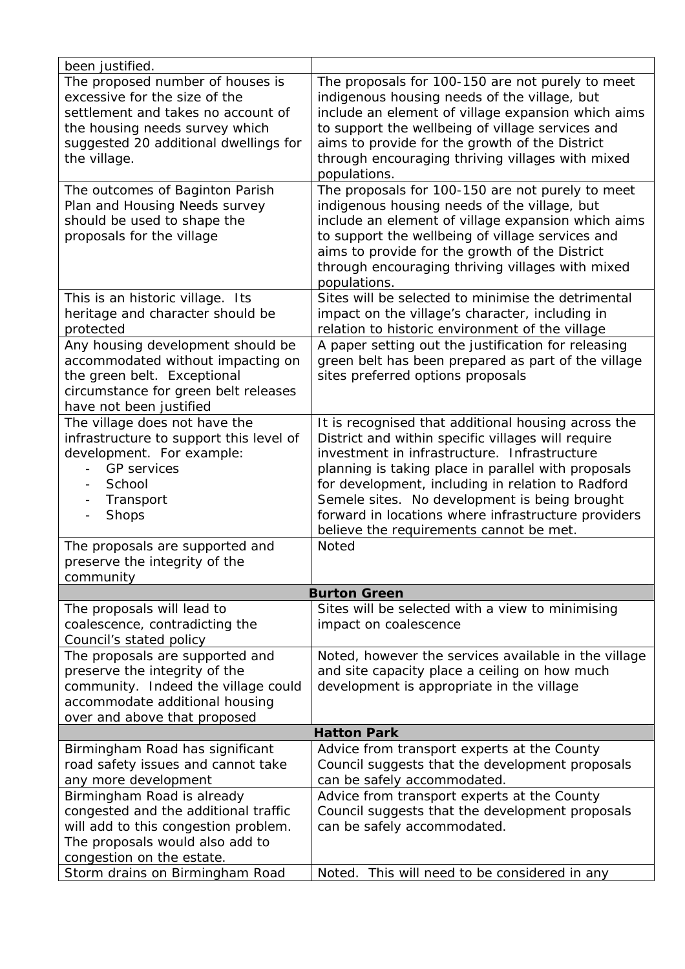| been justified.                                                                                                                                                                                                            |                                                                                                                                                                                                                                                                                                                                                                                                                          |  |
|----------------------------------------------------------------------------------------------------------------------------------------------------------------------------------------------------------------------------|--------------------------------------------------------------------------------------------------------------------------------------------------------------------------------------------------------------------------------------------------------------------------------------------------------------------------------------------------------------------------------------------------------------------------|--|
| The proposed number of houses is<br>excessive for the size of the<br>settlement and takes no account of<br>the housing needs survey which<br>suggested 20 additional dwellings for<br>the village.                         | The proposals for 100-150 are not purely to meet<br>indigenous housing needs of the village, but<br>include an element of village expansion which aims<br>to support the wellbeing of village services and<br>aims to provide for the growth of the District<br>through encouraging thriving villages with mixed<br>populations.                                                                                         |  |
| The outcomes of Baginton Parish<br>Plan and Housing Needs survey<br>should be used to shape the<br>proposals for the village                                                                                               | The proposals for 100-150 are not purely to meet<br>indigenous housing needs of the village, but<br>include an element of village expansion which aims<br>to support the wellbeing of village services and<br>aims to provide for the growth of the District<br>through encouraging thriving villages with mixed<br>populations.                                                                                         |  |
| This is an historic village. Its<br>heritage and character should be<br>protected                                                                                                                                          | Sites will be selected to minimise the detrimental<br>impact on the village's character, including in<br>relation to historic environment of the village                                                                                                                                                                                                                                                                 |  |
| Any housing development should be<br>accommodated without impacting on<br>the green belt. Exceptional<br>circumstance for green belt releases<br>have not been justified                                                   | A paper setting out the justification for releasing<br>green belt has been prepared as part of the village<br>sites preferred options proposals                                                                                                                                                                                                                                                                          |  |
| The village does not have the<br>infrastructure to support this level of<br>development. For example:<br><b>GP</b> services<br>$\overline{\phantom{0}}$<br>School<br>Transport<br><b>Shops</b><br>$\overline{\phantom{a}}$ | It is recognised that additional housing across the<br>District and within specific villages will require<br>investment in infrastructure. Infrastructure<br>planning is taking place in parallel with proposals<br>for development, including in relation to Radford<br>Semele sites. No development is being brought<br>forward in locations where infrastructure providers<br>believe the requirements cannot be met. |  |
| The proposals are supported and<br>preserve the integrity of the<br>community                                                                                                                                              | Noted                                                                                                                                                                                                                                                                                                                                                                                                                    |  |
|                                                                                                                                                                                                                            | <b>Burton Green</b>                                                                                                                                                                                                                                                                                                                                                                                                      |  |
| The proposals will lead to<br>coalescence, contradicting the<br>Council's stated policy                                                                                                                                    | Sites will be selected with a view to minimising<br>impact on coalescence                                                                                                                                                                                                                                                                                                                                                |  |
| The proposals are supported and<br>preserve the integrity of the<br>community. Indeed the village could<br>accommodate additional housing<br>over and above that proposed                                                  | Noted, however the services available in the village<br>and site capacity place a ceiling on how much<br>development is appropriate in the village                                                                                                                                                                                                                                                                       |  |
| <b>Hatton Park</b>                                                                                                                                                                                                         |                                                                                                                                                                                                                                                                                                                                                                                                                          |  |
| Birmingham Road has significant<br>road safety issues and cannot take<br>any more development                                                                                                                              | Advice from transport experts at the County<br>Council suggests that the development proposals<br>can be safely accommodated.                                                                                                                                                                                                                                                                                            |  |
| Birmingham Road is already<br>congested and the additional traffic<br>will add to this congestion problem.<br>The proposals would also add to<br>congestion on the estate.                                                 | Advice from transport experts at the County<br>Council suggests that the development proposals<br>can be safely accommodated.                                                                                                                                                                                                                                                                                            |  |
| Storm drains on Birmingham Road                                                                                                                                                                                            | This will need to be considered in any<br>Noted.                                                                                                                                                                                                                                                                                                                                                                         |  |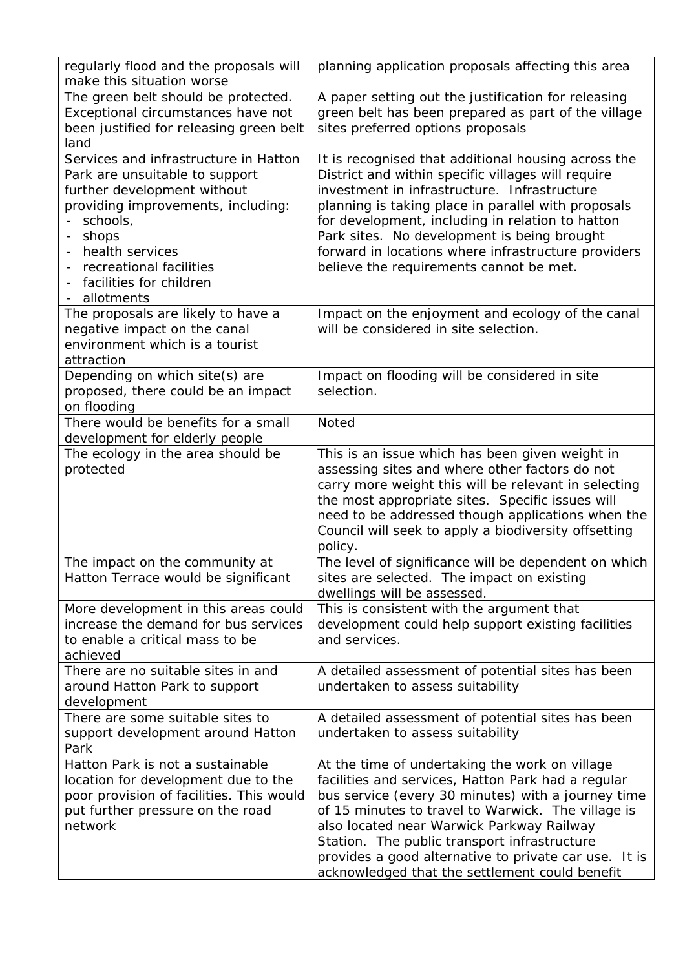| regularly flood and the proposals will<br>make this situation worse                                                                                                                                                                                           | planning application proposals affecting this area                                                                                                                                                                                                                                                                                                                                                                       |
|---------------------------------------------------------------------------------------------------------------------------------------------------------------------------------------------------------------------------------------------------------------|--------------------------------------------------------------------------------------------------------------------------------------------------------------------------------------------------------------------------------------------------------------------------------------------------------------------------------------------------------------------------------------------------------------------------|
| The green belt should be protected.<br>Exceptional circumstances have not<br>been justified for releasing green belt<br>land                                                                                                                                  | A paper setting out the justification for releasing<br>green belt has been prepared as part of the village<br>sites preferred options proposals                                                                                                                                                                                                                                                                          |
| Services and infrastructure in Hatton<br>Park are unsuitable to support<br>further development without<br>providing improvements, including:<br>schools,<br>shops<br>-<br>health services<br>recreational facilities<br>facilities for children<br>allotments | It is recognised that additional housing across the<br>District and within specific villages will require<br>investment in infrastructure. Infrastructure<br>planning is taking place in parallel with proposals<br>for development, including in relation to hatton<br>Park sites. No development is being brought<br>forward in locations where infrastructure providers<br>believe the requirements cannot be met.    |
| The proposals are likely to have a<br>negative impact on the canal<br>environment which is a tourist<br>attraction                                                                                                                                            | Impact on the enjoyment and ecology of the canal<br>will be considered in site selection.                                                                                                                                                                                                                                                                                                                                |
| Depending on which site(s) are<br>proposed, there could be an impact<br>on flooding                                                                                                                                                                           | Impact on flooding will be considered in site<br>selection.                                                                                                                                                                                                                                                                                                                                                              |
| There would be benefits for a small<br>development for elderly people                                                                                                                                                                                         | <b>Noted</b>                                                                                                                                                                                                                                                                                                                                                                                                             |
| The ecology in the area should be<br>protected                                                                                                                                                                                                                | This is an issue which has been given weight in<br>assessing sites and where other factors do not<br>carry more weight this will be relevant in selecting<br>the most appropriate sites. Specific issues will<br>need to be addressed though applications when the<br>Council will seek to apply a biodiversity offsetting<br>policy.                                                                                    |
| The impact on the community at<br>Hatton Terrace would be significant                                                                                                                                                                                         | The level of significance will be dependent on which<br>sites are selected. The impact on existing<br>dwellings will be assessed.                                                                                                                                                                                                                                                                                        |
| More development in this areas could<br>increase the demand for bus services<br>to enable a critical mass to be<br>achieved                                                                                                                                   | This is consistent with the argument that<br>development could help support existing facilities<br>and services.                                                                                                                                                                                                                                                                                                         |
| There are no suitable sites in and<br>around Hatton Park to support<br>development                                                                                                                                                                            | A detailed assessment of potential sites has been<br>undertaken to assess suitability                                                                                                                                                                                                                                                                                                                                    |
| There are some suitable sites to<br>support development around Hatton<br>Park                                                                                                                                                                                 | A detailed assessment of potential sites has been<br>undertaken to assess suitability                                                                                                                                                                                                                                                                                                                                    |
| Hatton Park is not a sustainable<br>location for development due to the<br>poor provision of facilities. This would<br>put further pressure on the road<br>network                                                                                            | At the time of undertaking the work on village<br>facilities and services, Hatton Park had a regular<br>bus service (every 30 minutes) with a journey time<br>of 15 minutes to travel to Warwick. The village is<br>also located near Warwick Parkway Railway<br>Station. The public transport infrastructure<br>provides a good alternative to private car use. It is<br>acknowledged that the settlement could benefit |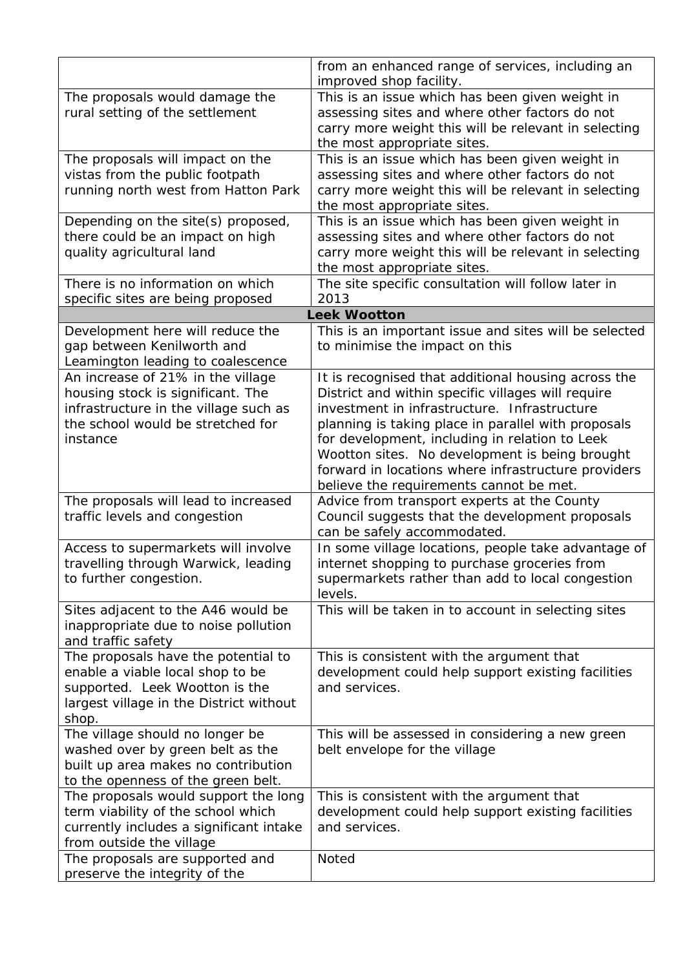|                                                                                                                                                                  | from an enhanced range of services, including an<br>improved shop facility.                                                                                                                                                                                                                                                                                                                                            |
|------------------------------------------------------------------------------------------------------------------------------------------------------------------|------------------------------------------------------------------------------------------------------------------------------------------------------------------------------------------------------------------------------------------------------------------------------------------------------------------------------------------------------------------------------------------------------------------------|
| The proposals would damage the<br>rural setting of the settlement                                                                                                | This is an issue which has been given weight in<br>assessing sites and where other factors do not<br>carry more weight this will be relevant in selecting<br>the most appropriate sites.                                                                                                                                                                                                                               |
| The proposals will impact on the<br>vistas from the public footpath<br>running north west from Hatton Park                                                       | This is an issue which has been given weight in<br>assessing sites and where other factors do not<br>carry more weight this will be relevant in selecting<br>the most appropriate sites.                                                                                                                                                                                                                               |
| Depending on the site(s) proposed,<br>there could be an impact on high<br>quality agricultural land                                                              | This is an issue which has been given weight in<br>assessing sites and where other factors do not<br>carry more weight this will be relevant in selecting<br>the most appropriate sites.                                                                                                                                                                                                                               |
| There is no information on which<br>specific sites are being proposed                                                                                            | The site specific consultation will follow later in<br>2013                                                                                                                                                                                                                                                                                                                                                            |
|                                                                                                                                                                  | <b>Leek Wootton</b>                                                                                                                                                                                                                                                                                                                                                                                                    |
| Development here will reduce the<br>gap between Kenilworth and<br>Leamington leading to coalescence                                                              | This is an important issue and sites will be selected<br>to minimise the impact on this                                                                                                                                                                                                                                                                                                                                |
| An increase of 21% in the village<br>housing stock is significant. The<br>infrastructure in the village such as<br>the school would be stretched for<br>instance | It is recognised that additional housing across the<br>District and within specific villages will require<br>investment in infrastructure. Infrastructure<br>planning is taking place in parallel with proposals<br>for development, including in relation to Leek<br>Wootton sites. No development is being brought<br>forward in locations where infrastructure providers<br>believe the requirements cannot be met. |
| The proposals will lead to increased<br>traffic levels and congestion                                                                                            | Advice from transport experts at the County<br>Council suggests that the development proposals<br>can be safely accommodated.                                                                                                                                                                                                                                                                                          |
| Access to supermarkets will involve<br>travelling through Warwick, leading<br>to further congestion.                                                             | In some village locations, people take advantage of<br>internet shopping to purchase groceries from<br>supermarkets rather than add to local congestion<br>levels.                                                                                                                                                                                                                                                     |
| Sites adjacent to the A46 would be<br>inappropriate due to noise pollution<br>and traffic safety                                                                 | This will be taken in to account in selecting sites                                                                                                                                                                                                                                                                                                                                                                    |
| The proposals have the potential to<br>enable a viable local shop to be<br>supported. Leek Wootton is the<br>largest village in the District without<br>shop.    | This is consistent with the argument that<br>development could help support existing facilities<br>and services.                                                                                                                                                                                                                                                                                                       |
| The village should no longer be<br>washed over by green belt as the<br>built up area makes no contribution<br>to the openness of the green belt.                 | This will be assessed in considering a new green<br>belt envelope for the village                                                                                                                                                                                                                                                                                                                                      |
| The proposals would support the long<br>term viability of the school which<br>currently includes a significant intake<br>from outside the village                | This is consistent with the argument that<br>development could help support existing facilities<br>and services.                                                                                                                                                                                                                                                                                                       |
| The proposals are supported and<br>preserve the integrity of the                                                                                                 | <b>Noted</b>                                                                                                                                                                                                                                                                                                                                                                                                           |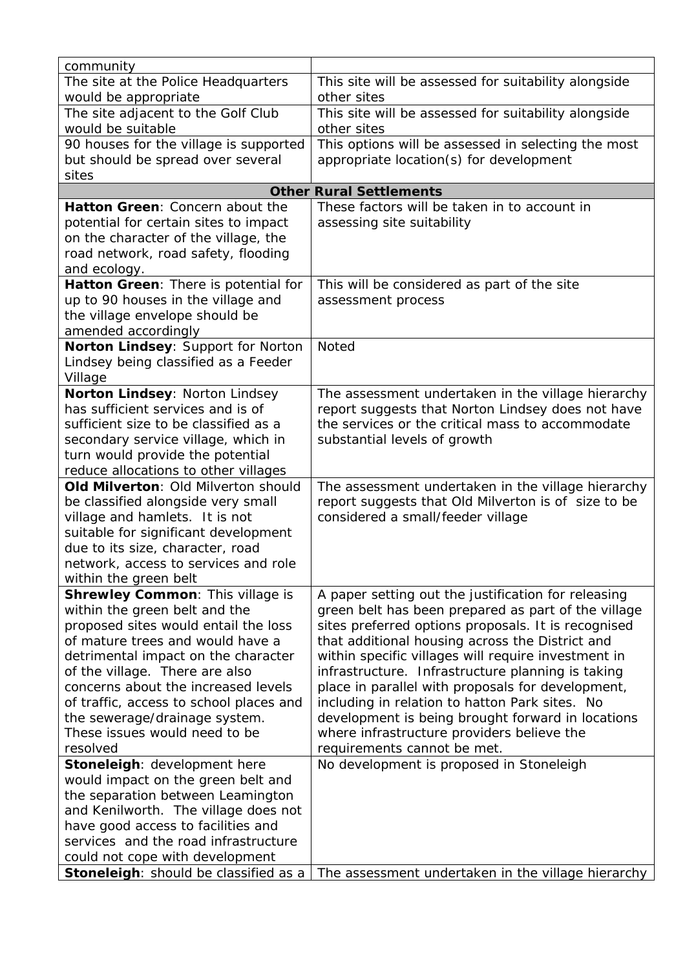| community                                                                |                                                      |
|--------------------------------------------------------------------------|------------------------------------------------------|
| The site at the Police Headquarters                                      | This site will be assessed for suitability alongside |
| would be appropriate                                                     | other sites                                          |
| The site adjacent to the Golf Club                                       | This site will be assessed for suitability alongside |
| would be suitable                                                        | other sites                                          |
| 90 houses for the village is supported                                   | This options will be assessed in selecting the most  |
| but should be spread over several                                        | appropriate location(s) for development              |
| sites                                                                    |                                                      |
|                                                                          | <b>Other Rural Settlements</b>                       |
| Hatton Green: Concern about the                                          | These factors will be taken in to account in         |
| potential for certain sites to impact                                    | assessing site suitability                           |
| on the character of the village, the                                     |                                                      |
| road network, road safety, flooding                                      |                                                      |
| and ecology.                                                             |                                                      |
| Hatton Green: There is potential for                                     | This will be considered as part of the site          |
| up to 90 houses in the village and                                       | assessment process                                   |
| the village envelope should be                                           |                                                      |
| amended accordingly                                                      |                                                      |
| Norton Lindsey: Support for Norton                                       | Noted                                                |
| Lindsey being classified as a Feeder                                     |                                                      |
| Village                                                                  |                                                      |
| Norton Lindsey: Norton Lindsey                                           | The assessment undertaken in the village hierarchy   |
| has sufficient services and is of                                        | report suggests that Norton Lindsey does not have    |
| sufficient size to be classified as a                                    | the services or the critical mass to accommodate     |
| secondary service village, which in                                      | substantial levels of growth                         |
| turn would provide the potential<br>reduce allocations to other villages |                                                      |
| Old Milverton: Old Milverton should                                      | The assessment undertaken in the village hierarchy   |
| be classified alongside very small                                       | report suggests that Old Milverton is of size to be  |
| village and hamlets. It is not                                           | considered a small/feeder village                    |
| suitable for significant development                                     |                                                      |
| due to its size, character, road                                         |                                                      |
| network, access to services and role                                     |                                                      |
| within the green belt                                                    |                                                      |
| <b>Shrewley Common: This village is</b>                                  | A paper setting out the justification for releasing  |
| within the green belt and the                                            | green belt has been prepared as part of the village  |
| proposed sites would entail the loss                                     | sites preferred options proposals. It is recognised  |
| of mature trees and would have a                                         | that additional housing across the District and      |
| detrimental impact on the character                                      | within specific villages will require investment in  |
| of the village. There are also                                           | infrastructure. Infrastructure planning is taking    |
| concerns about the increased levels                                      | place in parallel with proposals for development,    |
| of traffic, access to school places and                                  | including in relation to hatton Park sites. No       |
| the sewerage/drainage system.                                            | development is being brought forward in locations    |
| These issues would need to be                                            | where infrastructure providers believe the           |
| resolved                                                                 | requirements cannot be met.                          |
| Stoneleigh: development here                                             | No development is proposed in Stoneleigh             |
| would impact on the green belt and                                       |                                                      |
| the separation between Leamington                                        |                                                      |
| and Kenilworth. The village does not                                     |                                                      |
| have good access to facilities and                                       |                                                      |
| services and the road infrastructure                                     |                                                      |
| could not cope with development                                          |                                                      |
| Stoneleigh: should be classified as a                                    | The assessment undertaken in the village hierarchy   |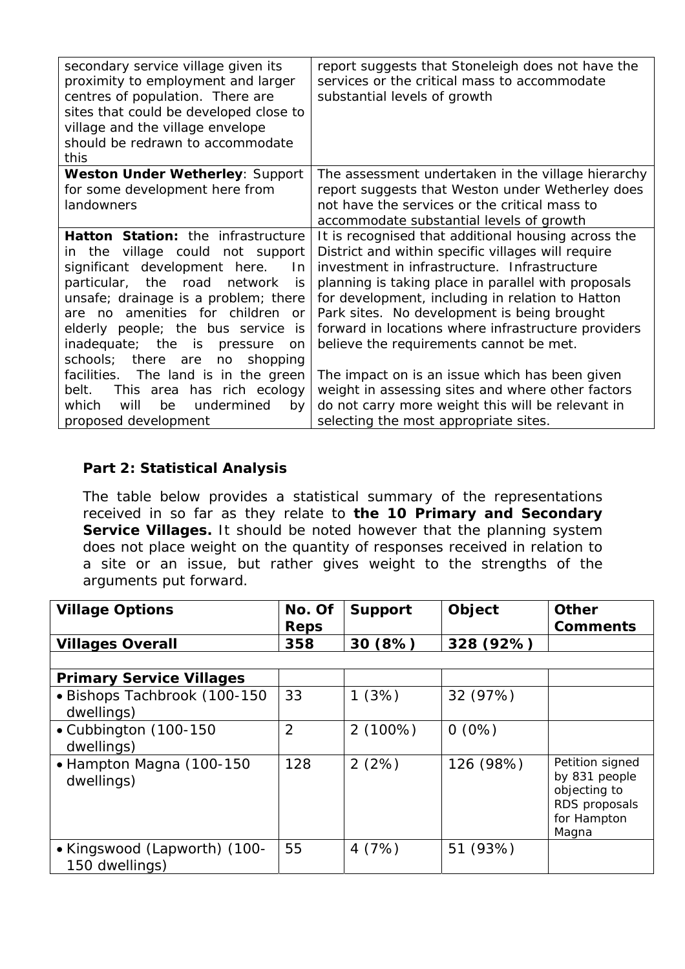| secondary service village given its<br>proximity to employment and larger<br>centres of population. There are<br>sites that could be developed close to<br>village and the village envelope<br>should be redrawn to accommodate<br>this | report suggests that Stoneleigh does not have the<br>services or the critical mass to accommodate<br>substantial levels of growth |
|-----------------------------------------------------------------------------------------------------------------------------------------------------------------------------------------------------------------------------------------|-----------------------------------------------------------------------------------------------------------------------------------|
| <b>Weston Under Wetherley: Support</b>                                                                                                                                                                                                  | The assessment undertaken in the village hierarchy                                                                                |
| for some development here from                                                                                                                                                                                                          | report suggests that Weston under Wetherley does                                                                                  |
| landowners                                                                                                                                                                                                                              | not have the services or the critical mass to                                                                                     |
|                                                                                                                                                                                                                                         | accommodate substantial levels of growth                                                                                          |
| Hatton Station: the infrastructure                                                                                                                                                                                                      | It is recognised that additional housing across the                                                                               |
| in the village could not support                                                                                                                                                                                                        | District and within specific villages will require                                                                                |
| significant development here.<br>In.                                                                                                                                                                                                    | investment in infrastructure. Infrastructure                                                                                      |
| particular, the road<br>network<br>is                                                                                                                                                                                                   | planning is taking place in parallel with proposals                                                                               |
| unsafe; drainage is a problem; there                                                                                                                                                                                                    | for development, including in relation to Hatton                                                                                  |
| are no amenities for children<br>or.                                                                                                                                                                                                    | Park sites. No development is being brought                                                                                       |
| elderly people; the bus service is                                                                                                                                                                                                      | forward in locations where infrastructure providers                                                                               |
| inadequate; the is<br>pressure<br><sub>on</sub>                                                                                                                                                                                         | believe the requirements cannot be met.                                                                                           |
| schools; there are<br>no<br>shopping                                                                                                                                                                                                    |                                                                                                                                   |
| facilities. The land is in the green                                                                                                                                                                                                    | The impact on is an issue which has been given                                                                                    |
| belt.<br>This area has rich ecology                                                                                                                                                                                                     | weight in assessing sites and where other factors                                                                                 |
| undermined<br>which<br>will<br>be<br>by                                                                                                                                                                                                 | do not carry more weight this will be relevant in                                                                                 |
| proposed development                                                                                                                                                                                                                    | selecting the most appropriate sites.                                                                                             |

## **Part 2: Statistical Analysis**

The table below provides a statistical summary of the representations received in so far as they relate to **the 10 Primary and Secondary Service Villages.** It should be noted however that the planning system does not place weight on the quantity of responses received in relation to a site or an issue, but rather gives weight to the strengths of the arguments put forward.

| <b>Village Options</b>                         | No. Of<br><b>Reps</b> | <b>Support</b> | Object    | <b>Other</b><br><b>Comments</b>                                                           |
|------------------------------------------------|-----------------------|----------------|-----------|-------------------------------------------------------------------------------------------|
| <b>Villages Overall</b>                        | 358                   | 30(8%)         | 328 (92%) |                                                                                           |
|                                                |                       |                |           |                                                                                           |
| <b>Primary Service Villages</b>                |                       |                |           |                                                                                           |
| · Bishops Tachbrook (100-150<br>dwellings)     | 33                    | 1(3%)          | 32 (97%)  |                                                                                           |
| • Cubbington (100-150<br>dwellings)            | $\overline{2}$        | $2(100\%)$     | $0(0\%)$  |                                                                                           |
| • Hampton Magna (100-150<br>dwellings)         | 128                   | 2(2%)          | 126 (98%) | Petition signed<br>by 831 people<br>objecting to<br>RDS proposals<br>for Hampton<br>Magna |
| • Kingswood (Lapworth) (100-<br>150 dwellings) | 55                    | 4(7%)          | 51 (93%)  |                                                                                           |